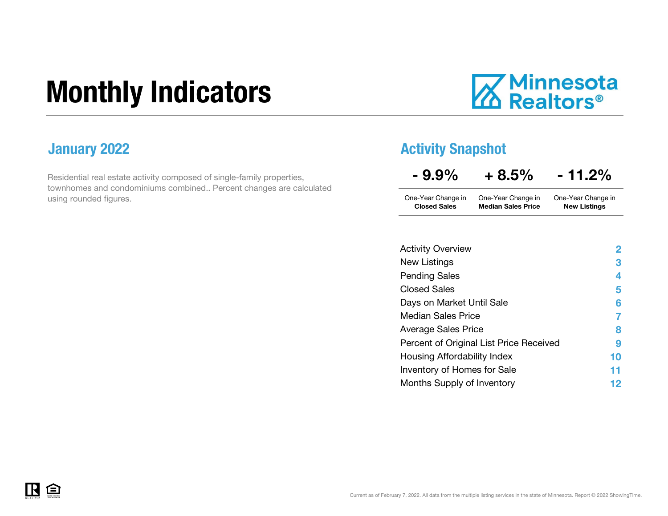## Monthly Indicators

# **Minnesota**<br>**A** Realtors<sup>®</sup>

Residential real estate activity composed of single-family properties, townhomes and condominiums combined.. Percent changes are calculated using rounded figures.

### **January 2022 Activity Snapshot Activity Snapshot**

| $-9.9%$             | $+8.5%$                   | $-11.2\%$           |
|---------------------|---------------------------|---------------------|
| One-Year Change in  | One-Year Change in        | One-Year Change in  |
| <b>Closed Sales</b> | <b>Median Sales Price</b> | <b>New Listings</b> |

| <b>Activity Overview</b>                | $\overline{2}$ |
|-----------------------------------------|----------------|
| New Listings                            | 3              |
| <b>Pending Sales</b>                    | 4              |
| <b>Closed Sales</b>                     | 5              |
| Days on Market Until Sale               | 6              |
| <b>Median Sales Price</b>               |                |
| Average Sales Price                     | 8              |
| Percent of Original List Price Received | 9              |
| Housing Affordability Index             | 10             |
| Inventory of Homes for Sale             | 11             |
| Months Supply of Inventory              | 12             |

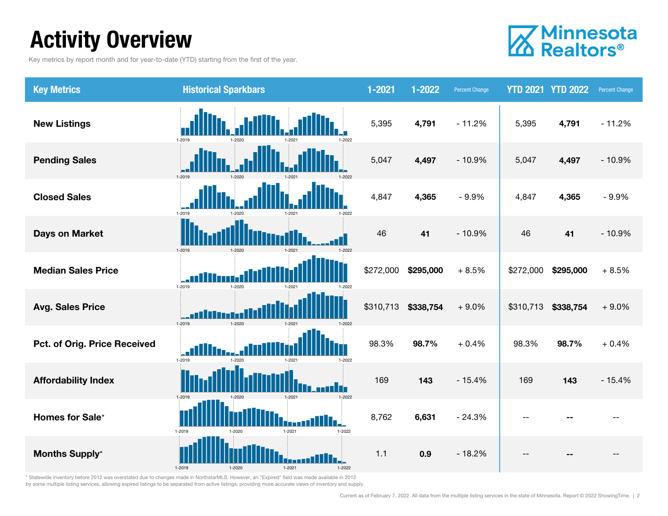### Activity Overview

Key metrics by report month and for year-to-date (YTD) starting from the first of the year.



| <b>Key Metrics</b>           | <b>Historical Sparkbars</b>                          | 1-2021    | 1-2022    | <b>Percent Change</b> | <b>YTD 2021 YTD 2022</b> |           | Percent Change |
|------------------------------|------------------------------------------------------|-----------|-----------|-----------------------|--------------------------|-----------|----------------|
| <b>New Listings</b>          | 1-2019<br>1-2022                                     | 5,395     | 4,791     | $-11.2%$              | 5,395                    | 4,791     | $-11.2%$       |
| <b>Pending Sales</b>         |                                                      | 5,047     | 4,497     | $-10.9%$              | 5,047                    | 4,497     | $-10.9%$       |
| <b>Closed Sales</b>          | 1-2019<br>1-2022<br>1-2021                           | 4,847     | 4,365     | $-9.9%$               | 4,847                    | 4,365     | $-9.9%$        |
| <b>Days on Market</b>        | 1-2019                                               | 46        | 41        | $-10.9%$              | 46                       | 41        | $-10.9%$       |
| <b>Median Sales Price</b>    | 1-2019<br>$1 - 2020$                                 | \$272,000 | \$295,000 | $+8.5%$               | \$272,000                | \$295,000 | $+8.5%$        |
| <b>Avg. Sales Price</b>      | 1-2019<br>1-2020                                     | \$310,713 | \$338,754 | $+9.0%$               | \$310,713                | \$338,754 | $+9.0%$        |
| Pct. of Orig. Price Received | 1-2019<br>1-2021<br>1-2020<br>1-2022                 | 98.3%     | 98.7%     | $+0.4%$               | 98.3%                    | 98.7%     | $+0.4%$        |
| <b>Affordability Index</b>   | 1-2022<br>1-2021                                     | 169       | 143       | $-15.4%$              | 169                      | 143       | $-15.4%$       |
| Homes for Sale*              | Th.L<br>1-2019<br>$1 - 2021$<br>$1 - 2022$<br>1-2020 | 8,762     | 6,631     | $-24.3%$              |                          |           |                |
| <b>Months Supply*</b>        | 1-2021<br>1-2019                                     | $1.1$     | 0.9       | $-18.2%$              |                          |           |                |

\* Statewide inventory before 2012 was overstated due to changes made in NorthstarMLS. However, an "Expired" field was made available in 2012 by some multiple listing services, allowing expired listings to be separated from active listings, providing more accurate views of inventory and supply.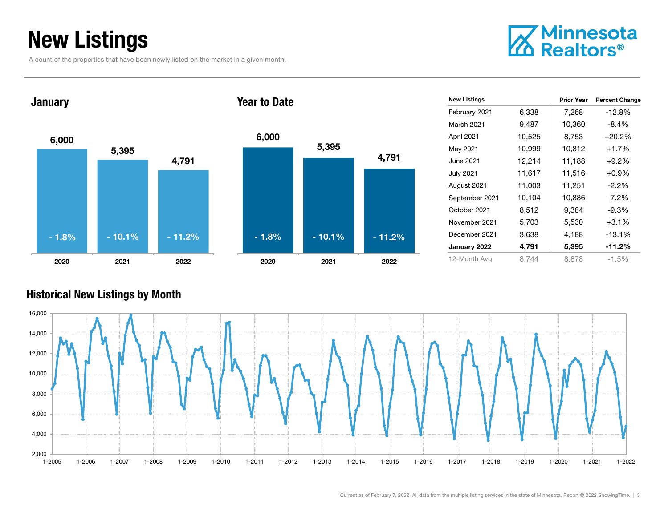### New Listings

A count of the properties that have been newly listed on the market in a given month.



6,000 5,395 4,791 2020 2021 2022 January 2020Year to Date- 1.8%



| <b>New Listings</b> |        | <b>Prior Year</b> | <b>Percent Change</b> |
|---------------------|--------|-------------------|-----------------------|
| February 2021       | 6,338  | 7,268             | $-12.8%$              |
| March 2021          | 9,487  | 10,360            | $-8.4\%$              |
| April 2021          | 10,525 | 8,753             | $+20.2%$              |
| May 2021            | 10,999 | 10,812            | $+1.7%$               |
| June 2021           | 12,214 | 11,188            | $+9.2%$               |
| <b>July 2021</b>    | 11,617 | 11,516            | $+0.9%$               |
| August 2021         | 11,003 | 11,251            | $-2.2\%$              |
| September 2021      | 10,104 | 10,886            | $-7.2\%$              |
| October 2021        | 8,512  | 9,384             | $-9.3\%$              |
| November 2021       | 5,703  | 5,530             | $+3.1%$               |
| December 2021       | 3,638  | 4,188             | $-13.1%$              |
| January 2022        | 4,791  | 5,395             | $-11.2\%$             |
| 12-Month Avg        | 8,744  | 8.878             | $-1.5%$               |

#### Historical New Listings by Month

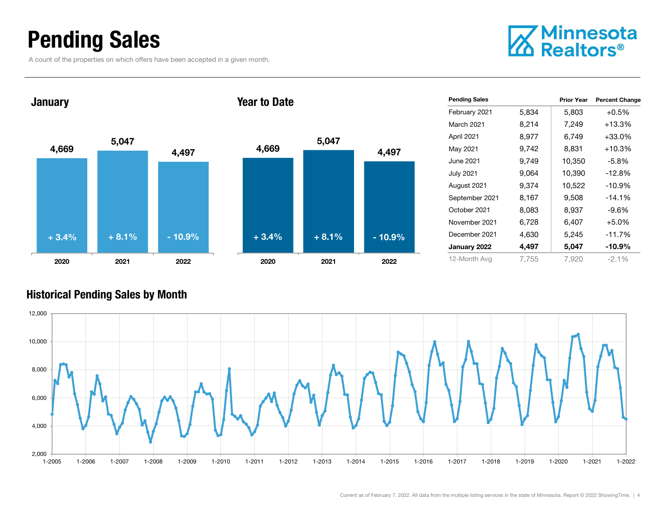### Pending Sales

A count of the properties on which offers have been accepted in a given month.



4,669 5,047 4,497 2020 2021 2022 January 2020Year to Date+ 3.4% $+ 8.1\%$  - 10.9% + 3.4% + 8.1% - 10.9%



| <b>Pending Sales</b> |       | <b>Prior Year</b> | <b>Percent Change</b> |
|----------------------|-------|-------------------|-----------------------|
| February 2021        | 5,834 | 5,803             | $+0.5%$               |
| March 2021           | 8,214 | 7,249             | $+13.3%$              |
| April 2021           | 8,977 | 6,749             | $+33.0%$              |
| May 2021             | 9.742 | 8,831             | $+10.3%$              |
| June 2021            | 9,749 | 10,350            | $-5.8\%$              |
| <b>July 2021</b>     | 9,064 | 10,390            | $-12.8%$              |
| August 2021          | 9.374 | 10,522            | $-10.9%$              |
| September 2021       | 8,167 | 9,508             | $-14.1%$              |
| October 2021         | 8,083 | 8,937             | $-9.6%$               |
| November 2021        | 6,728 | 6,407             | $+5.0%$               |
| December 2021        | 4,630 | 5,245             | $-11.7%$              |
| January 2022         | 4,497 | 5,047             | $-10.9\%$             |
| 12-Month Avg         | 7.755 | 7,920             | $-2.1%$               |

#### Historical Pending Sales by Month

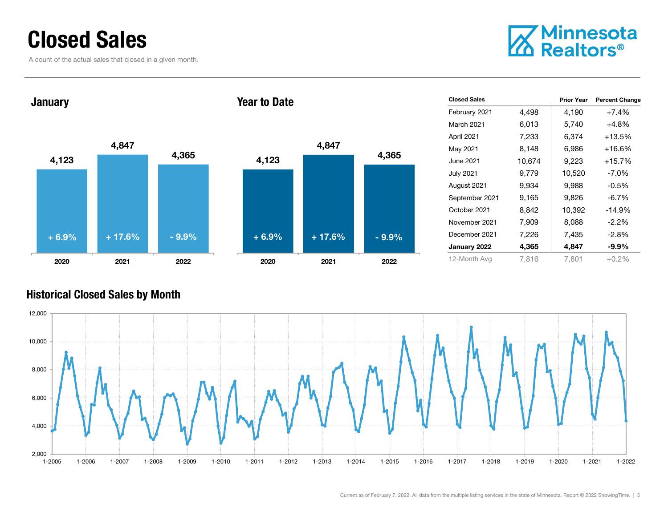### Closed Sales

A count of the actual sales that closed in a given month.



4,123 4,847 4,365 2020 2021 2022 January 4,123 4,847 2020 2021 2022 Year to Date+ 6.9%+ 17.6% - 9.9% + 6.9% + 17.6% - 9.9%

| <b>Closed Sales</b> |        | <b>Prior Year</b> | <b>Percent Change</b> |
|---------------------|--------|-------------------|-----------------------|
| February 2021       | 4,498  | 4,190             | $+7.4%$               |
| <b>March 2021</b>   | 6,013  | 5,740             | $+4.8%$               |
| April 2021          | 7,233  | 6,374             | $+13.5%$              |
| May 2021            | 8,148  | 6,986             | $+16.6%$              |
| June 2021           | 10,674 | 9,223             | $+15.7%$              |
| <b>July 2021</b>    | 9,779  | 10,520            | $-7.0\%$              |
| August 2021         | 9,934  | 9,988             | $-0.5%$               |
| September 2021      | 9,165  | 9,826             | $-6.7\%$              |
| October 2021        | 8,842  | 10,392            | $-14.9%$              |
| November 2021       | 7,909  | 8,088             | $-2.2%$               |
| December 2021       | 7,226  | 7,435             | $-2.8%$               |
| January 2022        | 4,365  | 4,847             | -9.9%                 |
| 12-Month Avg        | 7,816  | 7,801             | $+0.2%$               |

#### Historical Closed Sales by Month



4,365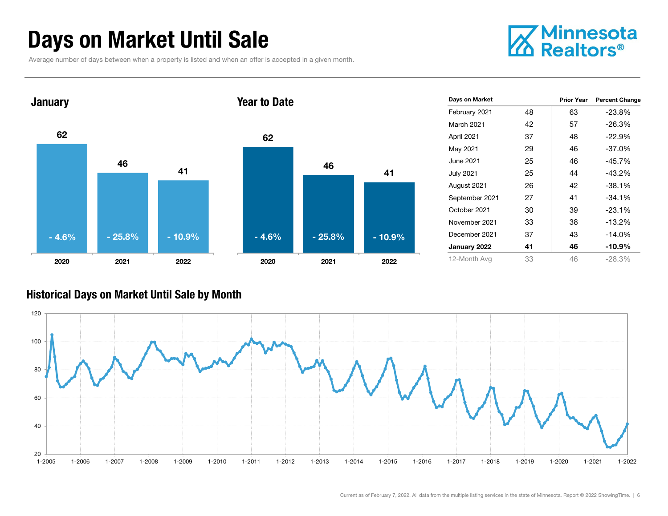### Days on Market Until Sale

Average number of days between when a property is listed and when an offer is accepted in a given month.





#### Historical Days on Market Until Sale by Month

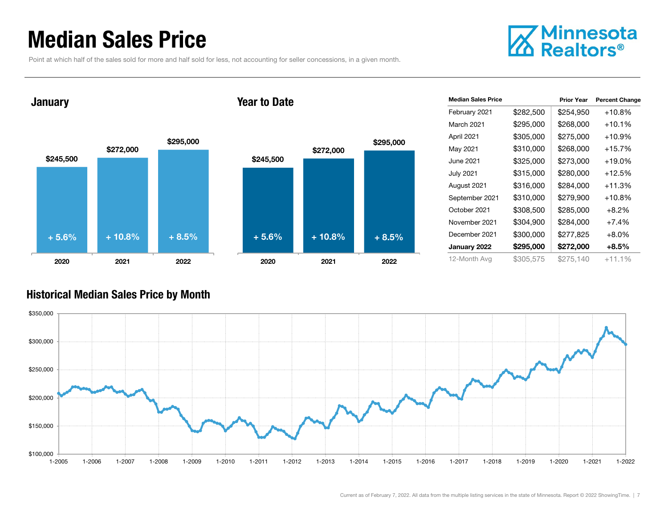### Median Sales Price

Point at which half of the sales sold for more and half sold for less, not accounting for seller concessions, in a given month.



January

#### Year to Date



| <b>Median Sales Price</b> |           | <b>Prior Year</b> | <b>Percent Change</b> |
|---------------------------|-----------|-------------------|-----------------------|
| February 2021             | \$282,500 | \$254,950         | $+10.8%$              |
| March 2021                | \$295,000 | \$268,000         | $+10.1%$              |
| April 2021                | \$305,000 | \$275,000         | $+10.9%$              |
| May 2021                  | \$310,000 | \$268,000         | $+15.7\%$             |
| June 2021                 | \$325,000 | \$273,000         | $+19.0%$              |
| <b>July 2021</b>          | \$315,000 | \$280,000         | $+12.5%$              |
| August 2021               | \$316,000 | \$284,000         | $+11.3%$              |
| September 2021            | \$310,000 | \$279,900         | $+10.8%$              |
| October 2021              | \$308,500 | \$285,000         | $+8.2%$               |
| November 2021             | \$304,900 | \$284,000         | $+7.4%$               |
| December 2021             | \$300,000 | \$277,825         | $+8.0%$               |
| January 2022              | \$295,000 | \$272,000         | $+8.5%$               |
| 12-Month Avg              | \$305,575 | \$275.140         | $+11.1%$              |

#### Historical Median Sales Price by Month

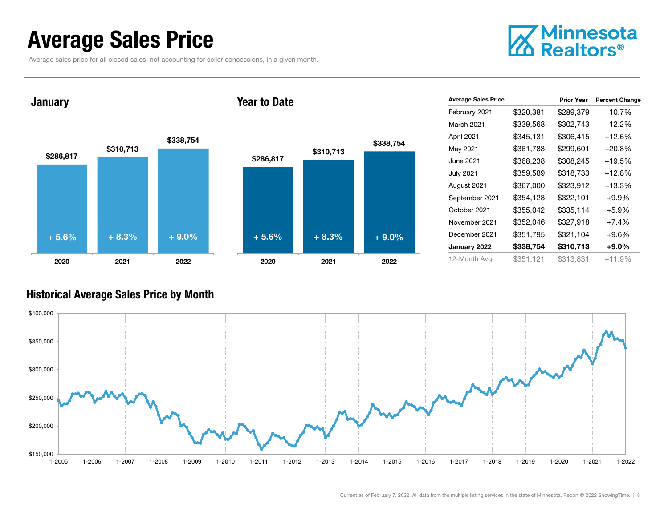### Average Sales Price

Average sales price for all closed sales, not accounting for seller concessions, in a given month.



January

#### Year to Date



| <b>Average Sales Price</b> |           | <b>Prior Year</b> | <b>Percent Change</b> |
|----------------------------|-----------|-------------------|-----------------------|
| February 2021              | \$320,381 | \$289,379         | $+10.7%$              |
| March 2021                 | \$339,568 | \$302,743         | $+12.2%$              |
| April 2021                 | \$345,131 | \$306.415         | $+12.6\%$             |
| May 2021                   | \$361,783 | \$299,601         | $+20.8%$              |
| June 2021                  | \$368,238 | \$308,245         | $+19.5%$              |
| <b>July 2021</b>           | \$359,589 | \$318,733         | $+12.8%$              |
| August 2021                | \$367,000 | \$323,912         | +13.3%                |
| September 2021             | \$354,128 | \$322,101         | $+9.9%$               |
| October 2021               | \$355,042 | \$335,114         | $+5.9%$               |
| November 2021              | \$352,046 | \$327,918         | $+7.4%$               |
| December 2021              | \$351,795 | \$321,104         | $+9.6%$               |
| January 2022               | \$338,754 | \$310,713         | $+9.0\%$              |
| 12-Month Avg               | \$351,121 | \$313,831         | $+11.9%$              |

#### Historical Average Sales Price by Month

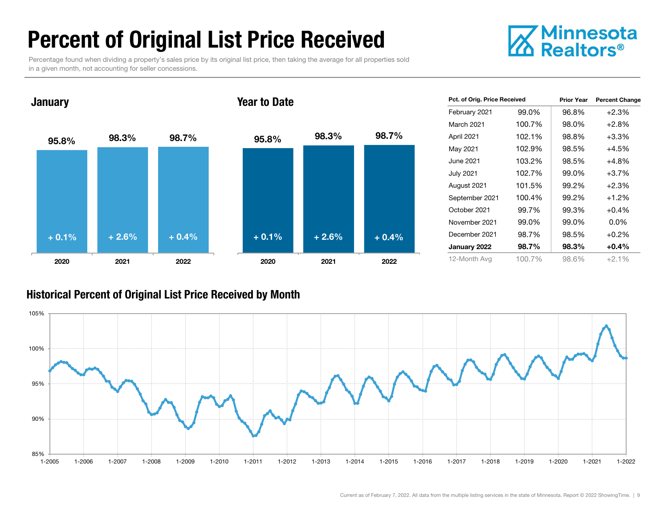### Percent of Original List Price Received

Percentage found when dividing a property's sales price by its original list price, then taking the average for all properties sold in a given month, not accounting for seller concessions.





| Pct. of Orig. Price Received |        | <b>Prior Year</b> | <b>Percent Change</b> |
|------------------------------|--------|-------------------|-----------------------|
| February 2021                | 99.0%  | 96.8%             | $+2.3%$               |
| March 2021                   | 100.7% | 98.0%             | $+2.8%$               |
| April 2021                   | 102.1% | 98.8%             | $+3.3\%$              |
| May 2021                     | 102.9% | 98.5%             | $+4.5%$               |
| June 2021.                   | 103.2% | 98.5%             | +4.8%                 |
| <b>July 2021</b>             | 102.7% | 99.0%             | $+3.7%$               |
| August 2021                  | 101.5% | 99.2%             | $+2.3%$               |
| September 2021               | 100.4% | 99.2%             | $+1.2%$               |
| October 2021                 | 99.7%  | 99.3%             | $+0.4%$               |
| November 2021                | 99.0%  | 99.0%             | $0.0\%$               |
| December 2021                | 98.7%  | 98.5%             | $+0.2%$               |
| January 2022                 | 98.7%  | 98.3%             | $+0.4%$               |
| 12-Month Avg                 | 100.7% | 98.6%             | $+2.1%$               |

#### Historical Percent of Original List Price Received by Month

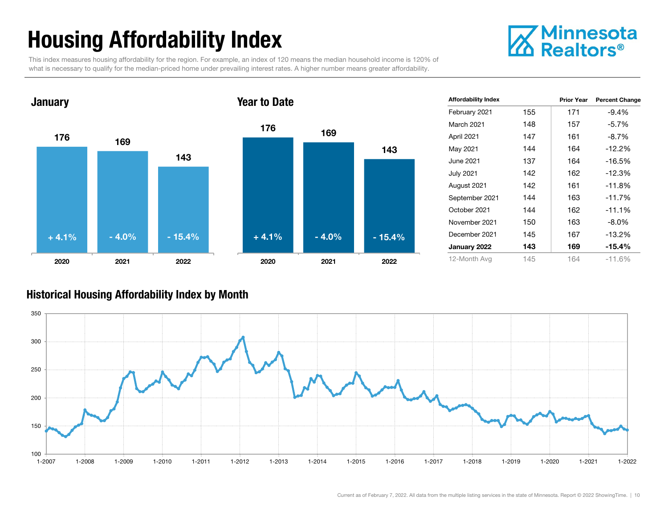### Housing Affordability Index



This index measures housing affordability for the region. For example, an index of 120 means the median household income is 120% of what is necessary to qualify for the median-priced home under prevailing interest rates. A higher number means greater affordability.



| <b>Affordability Index</b> |     | <b>Prior Year</b> | <b>Percent Change</b> |
|----------------------------|-----|-------------------|-----------------------|
| February 2021              | 155 | 171               | $-9.4%$               |
| <b>March 2021</b>          | 148 | 157               | $-5.7%$               |
| April 2021                 | 147 | 161               | $-8.7%$               |
| May 2021                   | 144 | 164               | $-12.2%$              |
| June 2021                  | 137 | 164               | -16.5%                |
| <b>July 2021</b>           | 142 | 162               | $-12.3%$              |
| August 2021                | 142 | 161               | $-11.8%$              |
| September 2021             | 144 | 163               | $-11.7%$              |
| October 2021               | 144 | 162               | $-11.1\%$             |
| November 2021              | 150 | 163               | $-8.0\%$              |
| December 2021              | 145 | 167               | $-13.2%$              |
| January 2022               | 143 | 169               | -15.4%                |
| 12-Month Avg               | 145 | 164               | $-11.6%$              |

#### Historical Housing Affordability Index by Mont h

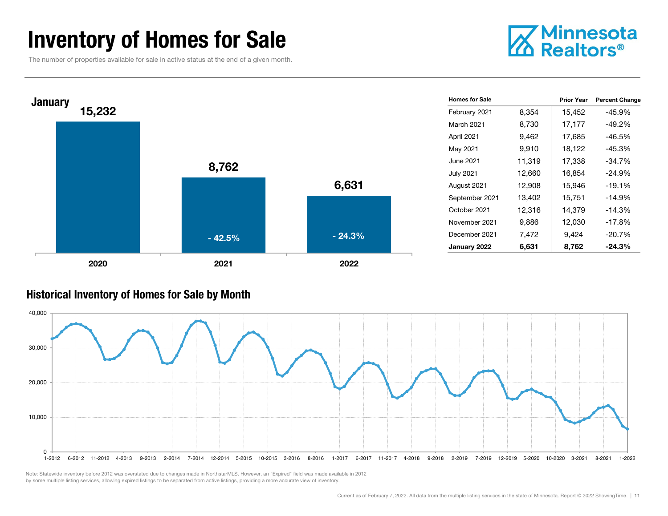### Inventory of Homes for Sale

The number of properties available for sale in active status at the end of a given month.





#### Historical Inventory of Homes for Sale by Month



Note: Statewide inventory before 2012 was overstated due to changes made in NorthstarMLS. However, an "Expired" field was made available in 2012 by some multiple listing services, allowing expired listings to be separated from active listings, providing a more accurate view of inventory.